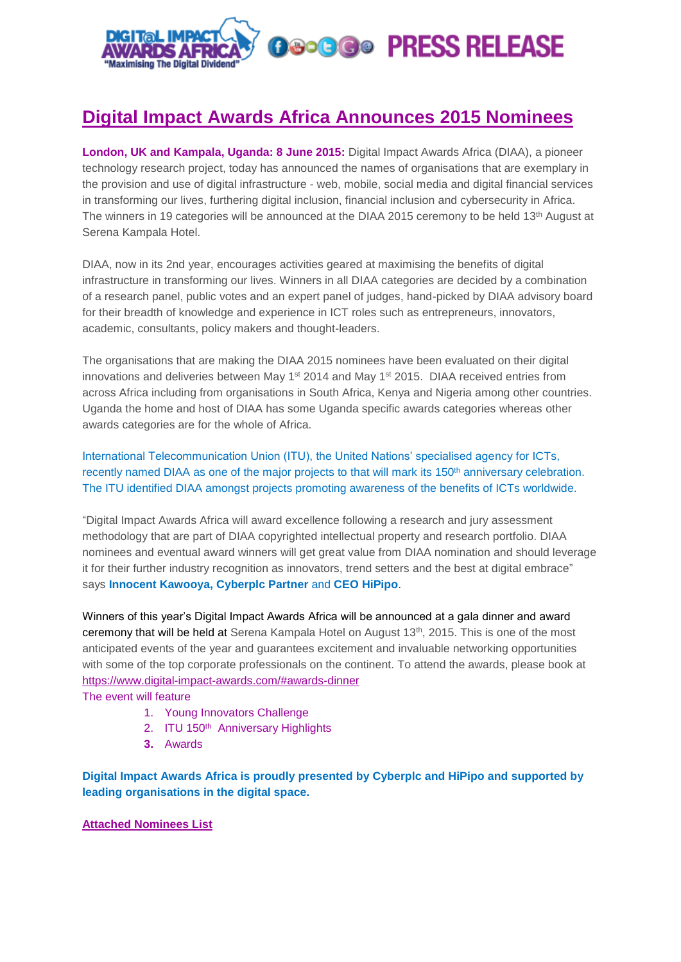

## **Digital Impact Awards Africa Announces 2015 Nominees**

**London, UK and Kampala, Uganda: 8 June 2015:** Digital Impact Awards Africa (DIAA), a pioneer technology research project, today has announced the names of organisations that are exemplary in the provision and use of digital infrastructure - web, mobile, social media and digital financial services in transforming our lives, furthering digital inclusion, financial inclusion and cybersecurity in Africa. The winners in 19 categories will be announced at the DIAA 2015 ceremony to be held 13th August at Serena Kampala Hotel.

DIAA, now in its 2nd year, encourages activities geared at maximising the benefits of digital infrastructure in transforming our lives. Winners in all DIAA categories are decided by a combination of a research panel, public votes and an expert panel of judges, hand-picked by DIAA advisory board for their breadth of knowledge and experience in ICT roles such as entrepreneurs, innovators, academic, consultants, policy makers and thought-leaders.

The organisations that are making the DIAA 2015 nominees have been evaluated on their digital innovations and deliveries between May 1<sup>st</sup> 2014 and May 1<sup>st</sup> 2015. DIAA received entries from across Africa including from organisations in South Africa, Kenya and Nigeria among other countries. Uganda the home and host of DIAA has some Uganda specific awards categories whereas other awards categories are for the whole of Africa.

International Telecommunication Union (ITU), the United Nations' specialised agency for ICTs, recently named DIAA as one of the major projects to that will mark its 150<sup>th</sup> anniversary celebration. The ITU identified DIAA amongst projects promoting awareness of the benefits of ICTs worldwide.

"Digital Impact Awards Africa will award excellence following a research and jury assessment methodology that are part of DIAA copyrighted intellectual property and research portfolio. DIAA nominees and eventual award winners will get great value from DIAA nomination and should leverage it for their further industry recognition as innovators, trend setters and the best at digital embrace" says **Innocent Kawooya, Cyberplc Partner** and **CEO HiPipo**.

Winners of this year's Digital Impact Awards Africa will be announced at a gala dinner and award ceremony that will be held at Serena Kampala Hotel on August 13<sup>th</sup>, 2015. This is one of the most anticipated events of the year and guarantees excitement and invaluable networking opportunities with some of the top corporate professionals on the continent. To attend the awards, please book at <https://www.digital-impact-awards.com/#awards-dinner>

The event will feature

- 1. Young Innovators Challenge
- 2. ITU 150<sup>th</sup> Anniversary Highlights
- **3.** Awards

**Digital Impact Awards Africa is proudly presented by Cyberplc and HiPipo and supported by leading organisations in the digital space.**

## **Attached Nominees List**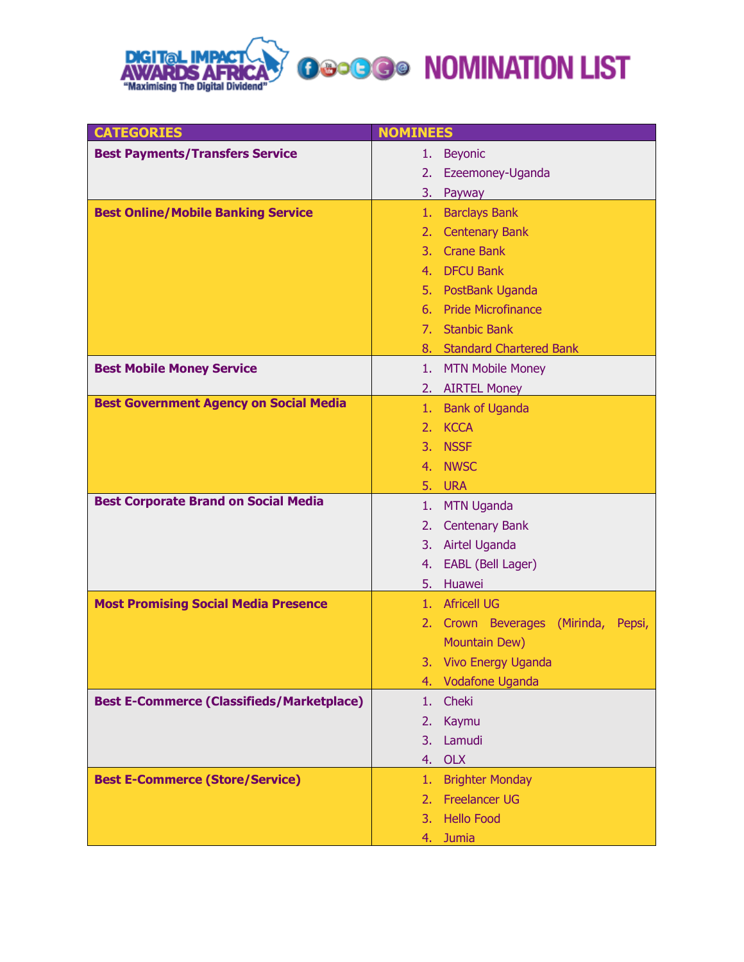

| <b>CATEGORIES</b>                                | <b>NOMINEES</b>                        |
|--------------------------------------------------|----------------------------------------|
| <b>Best Payments/Transfers Service</b>           | <b>Beyonic</b><br>1.                   |
|                                                  | Ezeemoney-Uganda<br>2.                 |
|                                                  | 3.<br>Payway                           |
| <b>Best Online/Mobile Banking Service</b>        | <b>Barclays Bank</b><br>1.             |
|                                                  | 2. Centenary Bank                      |
|                                                  | 3. Crane Bank                          |
|                                                  | 4. DFCU Bank                           |
|                                                  | 5. PostBank Uganda                     |
|                                                  | 6. Pride Microfinance                  |
|                                                  | 7. Stanbic Bank                        |
|                                                  | 8. Standard Chartered Bank             |
| <b>Best Mobile Money Service</b>                 | 1. MTN Mobile Money                    |
|                                                  | 2. AIRTEL Money                        |
| <b>Best Government Agency on Social Media</b>    | 1. Bank of Uganda                      |
|                                                  | 2. KCCA                                |
|                                                  | 3. NSSF                                |
|                                                  | 4. NWSC                                |
|                                                  | 5. URA                                 |
| <b>Best Corporate Brand on Social Media</b>      | <b>MTN Uganda</b><br>1.                |
|                                                  | 2. Centenary Bank                      |
|                                                  | 3. Airtel Uganda                       |
|                                                  | EABL (Bell Lager)<br>4.                |
|                                                  | Huawei<br>5.                           |
| <b>Most Promising Social Media Presence</b>      | 1. Africell UG                         |
|                                                  | 2. Crown Beverages (Mirinda,<br>Pepsi, |
|                                                  | Mountain Dew)                          |
|                                                  | 3. Vivo Energy Uganda                  |
|                                                  | <b>Vodafone Uganda</b><br>4.           |
| <b>Best E-Commerce (Classifieds/Marketplace)</b> | Cheki<br>1.                            |
|                                                  | 2.<br>Kaymu                            |
|                                                  | Lamudi<br>3.                           |
|                                                  | <b>OLX</b><br>4.                       |
| <b>Best E-Commerce (Store/Service)</b>           | <b>Brighter Monday</b><br>1.           |
|                                                  | <b>Freelancer UG</b><br>2.             |
|                                                  | <b>Hello Food</b><br>3.                |
|                                                  | <b>Jumia</b><br>4.                     |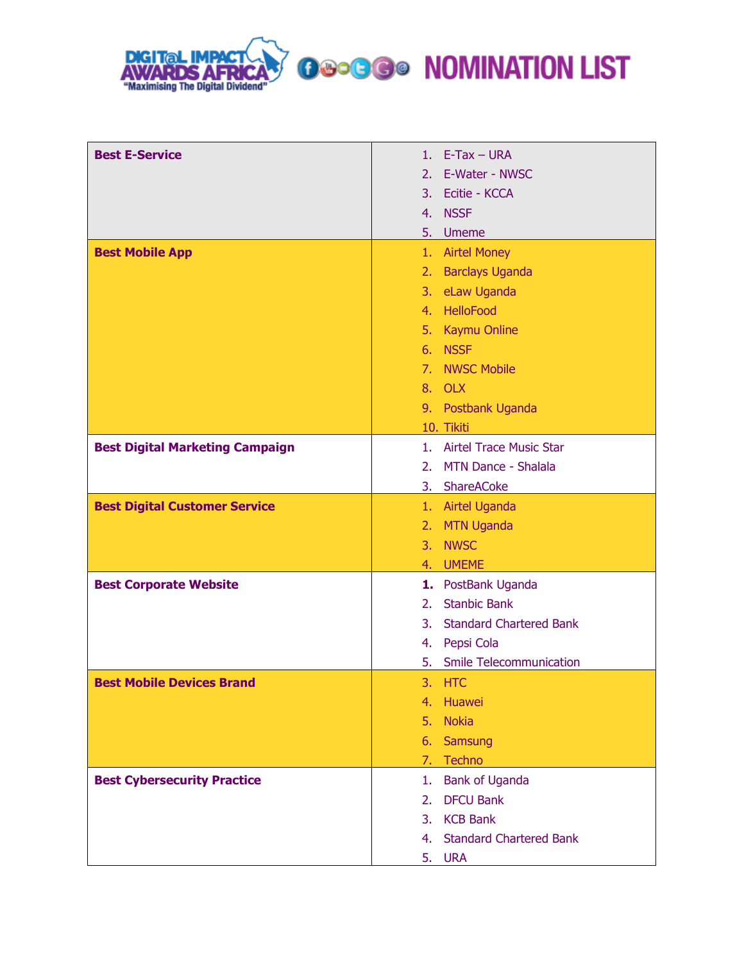

**OSCOGO NOMINATION LIST** 

| <b>Best E-Service</b>                  | $E-Tax - URA$<br>1.                              |
|----------------------------------------|--------------------------------------------------|
|                                        | 2.<br>E-Water - NWSC                             |
|                                        | 3. Ecitie - KCCA                                 |
|                                        | 4. NSSF                                          |
|                                        | 5.<br><b>Umeme</b>                               |
| <b>Best Mobile App</b>                 | 1. Airtel Money                                  |
|                                        | 2. Barclays Uganda                               |
|                                        | 3. eLaw Uganda                                   |
|                                        | 4. HelloFood                                     |
|                                        | 5. Kaymu Online                                  |
|                                        | 6. NSSF                                          |
|                                        | 7. NWSC Mobile                                   |
|                                        | 8. OLX                                           |
|                                        | 9. Postbank Uganda                               |
|                                        | 10. Tikiti                                       |
| <b>Best Digital Marketing Campaign</b> | 1. Airtel Trace Music Star                       |
|                                        | MTN Dance - Shalala<br>2 <sub>1</sub>            |
|                                        | 3. ShareACoke                                    |
| <b>Best Digital Customer Service</b>   | 1. Airtel Uganda                                 |
|                                        | 2. MTN Uganda                                    |
|                                        | 3. NWSC                                          |
|                                        | 4. UMEME                                         |
| <b>Best Corporate Website</b>          | 1. PostBank Uganda                               |
|                                        | <b>Stanbic Bank</b><br>2 <sub>1</sub>            |
|                                        | 3 <sub>1</sub><br><b>Standard Chartered Bank</b> |
|                                        | Pepsi Cola<br>4.                                 |
|                                        | <b>Smile Telecommunication</b><br>5.             |
| <b>Best Mobile Devices Brand</b>       | 3.<br><b>HTC</b>                                 |
|                                        | Huawei<br>4.                                     |
|                                        | 5.<br><b>Nokia</b>                               |
|                                        | Samsung<br>6.                                    |
|                                        | Techno<br>7.                                     |
| <b>Best Cybersecurity Practice</b>     | <b>Bank of Uganda</b><br>1.                      |
|                                        | <b>DFCU Bank</b><br>2.                           |
|                                        | <b>KCB Bank</b><br>3.                            |
|                                        | <b>Standard Chartered Bank</b><br>4.             |
|                                        | 5.<br><b>URA</b>                                 |